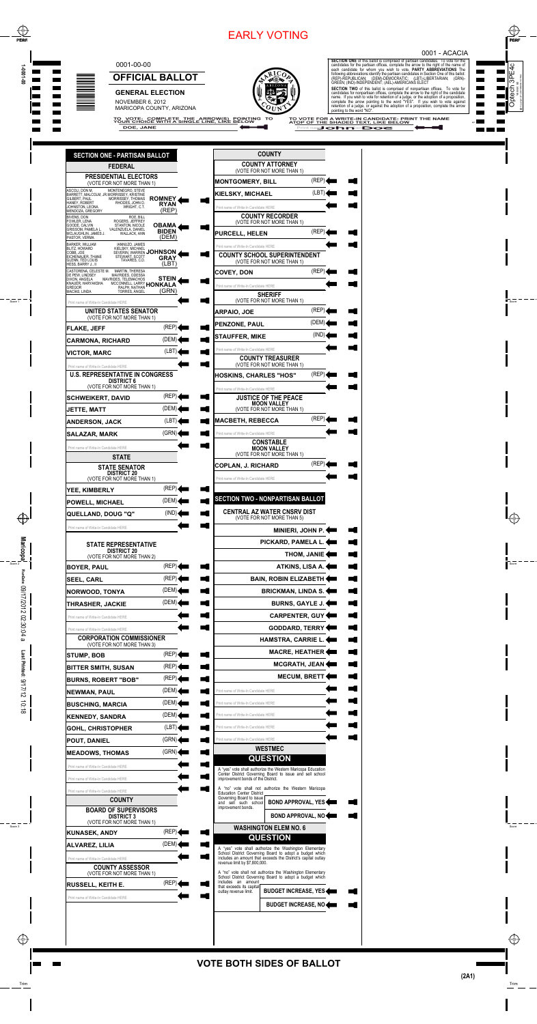## **VOTE BOTH SIDES OF BALLOT**

## 0001-00-00

DOE, JANE



**OFFICIAL BALLOT** 

### **GENERAL ELECTION**

NOVEMBER 6, 2012 MARICOPA COUNTY, ARIZONA



**SECTION ONE** of this ballot is comprised of partisan candidates. To vote for the particulates for the partisan offices, complete the arrow to the right of the name of each candidate for whom you wish to vote. **PARTY ABBRE SECTION TWO** of this ballot is comprised of nonpartisan offices. To vote for candidates for nonpartisan offices, complete the arrow to the right of the candidate name. If you wish to vote for retention of a judge, or the

pointing to the word "NO TO VOTE FOR A WRITE-IN CANDIDATE: PRINT THE NAME<br>AT<u>OP OF THE SHADED TEXT, LIKE BELOW</u>

Print nam other man Does

#### 0001 - ACACIA

 $\overline{ }$ 

 $\overline{\phantom{a}}$ 

<u>a sa san</u>

П

 $\mathbf{r}$ 

**Contract** 

**The Co** 

 $\mathcal{L}^{\text{max}}$ 

**The Co** 

| <b>SECTION ONE - PARTISAN BALLOT</b>                                                                                                                                                                                                                    |                                       |
|---------------------------------------------------------------------------------------------------------------------------------------------------------------------------------------------------------------------------------------------------------|---------------------------------------|
| <b>FEDERAL</b>                                                                                                                                                                                                                                          |                                       |
| <b>PRESIDENTIAL ELECTORS</b><br>(VOTE FOR NOT MORE THAN 1)                                                                                                                                                                                              |                                       |
| ASCOLI, DON M.<br>MONTENEGRO, STEVE<br>NOUCH, THE BARRETT, MALCOLM, JR. MORRISSEY, KRISTINE<br>GILBERT, PAUL MORRISSEY, THOMAS<br>HANEY, ROBERT RHODES, JOHN D.<br>HANEY, ROBERT<br>JOHNSTON, LEONA<br>WRIGHT, C.T.<br>MENDOZA, GREGORY                 | <b>ROMNEY</b><br><b>RYAN</b><br>(REP) |
| BIVENS, DON<br>ROE, BILL<br>FOWLER, LENA<br>ROGERS, JEFFREY<br>STANTON, NICOLE<br>GOODE, CALVIN<br>GRISSOM, PAMELA L.<br>VALENZUELA, DANIEL<br>MCLAUGHLIN, JAMES J.<br>WALLACK, ANN<br>PASTOR, VERMA                                                    | OBAMA<br><b>BIDEN</b><br>(DEM)        |
| <b>BARKER, WILLIAM</b><br>IANNUZO, JAMES<br>BLITZ, HOWARD<br>KIELSKY, MICHAEL<br>SEVERIN, WARREN JOHNSON<br>COBB, JOE<br>EICHENAUER, THANE<br>STEWART, SCOTT<br>GLENN, TED LOUIS<br>TAVARES, C.D.<br>HESS, BARRY J., II                                 | <b>GRAY</b><br>(LBT)                  |
| CASTORENA, CELESTE M.<br><b>MARTIN, THERESA</b><br>DE PEW, LINDSEY<br>MAVRIDES, ODESSA<br>DIXON, ANGELA<br>MAVRIDES, TELEMACHOS<br>KNAUÉR, HARYAKSHA MCCONNELL, LARRY <b>HONKALA</b><br>GREGOR RALPH, NATHAN HONKALAN<br>MACÍAS, LINDA<br>TORRES, ANGEL | STEIN<br>(GRN)                        |
| Print name of Write-In Candidate HERE                                                                                                                                                                                                                   |                                       |
| UNITED STATES SENATOR<br>(VOTE FOR NOT MORE THAN 1)                                                                                                                                                                                                     |                                       |
| FLAKE, JEFF                                                                                                                                                                                                                                             | (REP)                                 |
| CARMONA, RICHARD                                                                                                                                                                                                                                        | (DEM)                                 |
| VICTOR, MARC                                                                                                                                                                                                                                            | (LBT)                                 |
| Print name of Write-In Candidate HERE                                                                                                                                                                                                                   |                                       |
| <b>U.S. REPRESENTATIVE IN CONGRESS</b><br><b>DISTRICT 6</b><br>(VOTE FOR NOT MORE THAN 1)                                                                                                                                                               |                                       |
| SCHWEIKERT, DAVID                                                                                                                                                                                                                                       | (REP)                                 |
| JETTE, MATT                                                                                                                                                                                                                                             | (DEM)                                 |
| ANDERSON, JACK                                                                                                                                                                                                                                          | (LB1)                                 |
| SALAZAR, MARK                                                                                                                                                                                                                                           | (GRN)                                 |
| Print name of Write-In Candidate HERE                                                                                                                                                                                                                   |                                       |
| <b>STATE</b>                                                                                                                                                                                                                                            |                                       |
| <b>STATE SENATOR</b><br><b>DISTRICT 20</b><br>(VOTE FOR NOT MORE THAN 1)                                                                                                                                                                                |                                       |
| YEE, KIMBERLY                                                                                                                                                                                                                                           | (REF)                                 |
| <b>POWELL, MICHAEL</b>                                                                                                                                                                                                                                  | (DEM)                                 |
| QUELLAND, DOUG "Q"                                                                                                                                                                                                                                      | (IND)                                 |
| Print name of Write-In Candidate HERE                                                                                                                                                                                                                   |                                       |
| <b>STATE REPRESENTATIVE</b><br><b>DISTRICT 20</b><br>(VOTE FOR NOT MORE THAN 2)                                                                                                                                                                         |                                       |
| BOYER, PAUL                                                                                                                                                                                                                                             | (REP)                                 |
| SEEL, CARL                                                                                                                                                                                                                                              | (REP)                                 |
| NORWOOD, TONYA                                                                                                                                                                                                                                          | (DEM)∢                                |
| THRASHER, JACKIE                                                                                                                                                                                                                                        | (DEM)                                 |
| Print name of Write-In Candidate HERE                                                                                                                                                                                                                   |                                       |
| Print name of Write-In Candidate HERE                                                                                                                                                                                                                   |                                       |

Ξ

 $\overline{\phantom{0}}$ 

#### Trim Perfection of the Community of the Community of the Community of the Community of the Community of the Co EARLY VOTING

| <b>COUNTY</b>                                                                   |                         |
|---------------------------------------------------------------------------------|-------------------------|
| <b>COUNTY ATTORNEY</b><br>(VOTE FOR NOT MORE THAN 1)                            |                         |
| <b>MONTGOMERY, BILL</b>                                                         | $(REP)$ $\triangleleft$ |
| <b>KIELSKY, MICHAEL</b>                                                         | (LBT)                   |
| Print name of Write-In Candidate HERE                                           |                         |
| <b>COUNTY RECORDER</b><br>(VOTE FOR NOT MORE THAN 1)                            |                         |
| <b>PURCELL. HELEN</b>                                                           | (REP)                   |
| Print name of Write-In Candidate HERE                                           |                         |
| <b>COUNTY SCHOOL SUPERINTENDENT</b><br>(VOTE FOR NOT MORE THAN 1)               |                         |
| <b>COVEY, DON</b>                                                               | (REP)                   |
| Print name of Write-In Candidate HERE                                           |                         |
| <b>SHERIFF</b><br>(VOTE FOR NOT MORE THAN 1)                                    |                         |
| ARPAIO, JOE                                                                     | (REP)                   |
| <b>PENZONE, PAUL</b>                                                            | (DEM).                  |
| <b>STAUFFER, MIKE</b>                                                           | (IND)                   |
| Print name of Write-In Candidate HERE                                           |                         |
| <b>COUNTY TREASURER</b><br>(VOTE FOR NOT MORE THAN 1)                           |                         |
| HOSKINS, CHARLES "HOS"                                                          | (REP)                   |
| Print name of Write-In Candidate HERE                                           |                         |
| <b>JUSTICE OF THE PEACE</b><br><b>MOON VALLEY</b><br>(VOTE FOR NOT MORE THAN 1) |                         |
| <b>MACBETH, REBECCA</b>                                                         | (REP)                   |
| Print name of Write-In Candidate HERE                                           |                         |
| <b>CONSTABLE</b><br>MOON VALLEY<br>(VOTE FOR NOT MORE THAN 1)                   |                         |
| <b>COPLAN, J. RICHARD</b>                                                       | (REP)                   |
| Print name of Write-In Candidate HERE                                           |                         |
| SECTION TWO - NONPARTISAN BALLOT                                                |                         |
| <b>CENTRAL AZ WATER CNSRV DIST</b><br>(VOTE FOR NOT MORE THAN 5)                |                         |
| <b>MINIERI, JOHN P.</b>                                                         |                         |
| PICKARD, PAMELA L.                                                              |                         |
|                                                                                 | <b>THOM, JANIE 4</b>    |
| ATKINS, LISA A.                                                                 |                         |
| <b>BAIN, ROBIN ELIZABETH</b>                                                    |                         |
| <b>BRICKMAN, LINDA S.4</b>                                                      |                         |
| <b>BURNS, GAYLE J.</b>                                                          |                         |
| <b>CARPENTER, GUY</b>                                                           |                         |
| <b>GODDARD, TERRY</b>                                                           |                         |